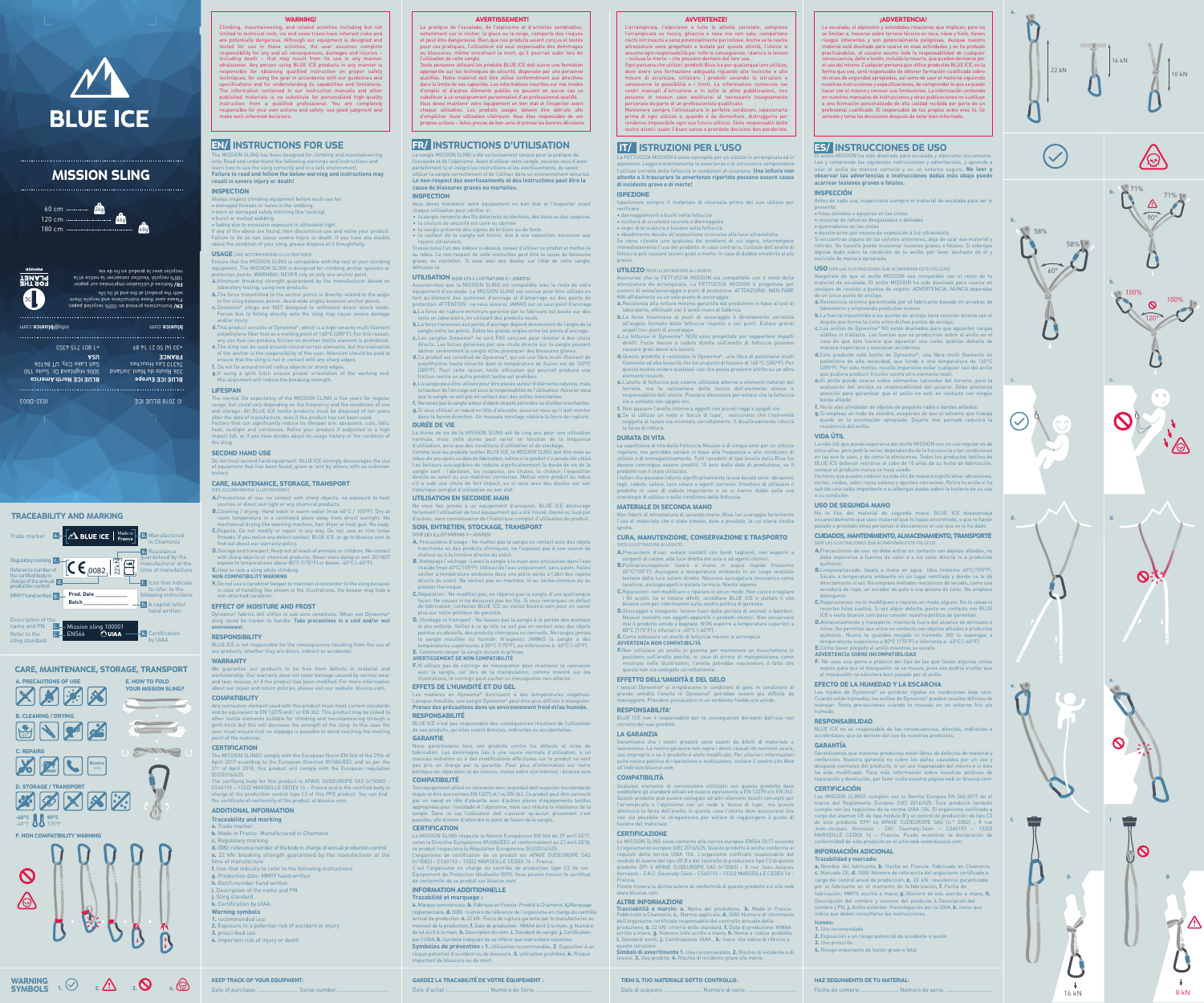IT/ ISTRUZIONI PER L'USO

La FETTUCCIA MISSION è stata concepita per un utilizzo in arrampicata ed in alpinismo. Leggere attentamente le avvertenze e le istruzioni e comprendere l'utilizzo corretto della fettuccia in condizioni di sicurezza. **Una lettura non attenta o il trascurare le avvertenze riportate possono essere causa**

**di incidente grave o di morte!**

ISPEZIONE

Ispezionare sempre il materiale di sicurezza prima del suo utilizzo per

verificare:

• danneggiamenti o buchi nella fettuccia • cucitura di sicurezza usurata o danneggiata • segni di bruciatura o fusione sulla fettuccia

Assicurasi che la FETTUCCIA MISSION sia compatibile con il resto della<br>attrezzatura da arrampicata. La FETTUCCIA MISSION è progettata per<br>sistemi di sosta/ancoraggio o punti di protezione. ATTENZIONE: NON FARE<br>MAI affidame **a.** Resistenza alla rottura minima garantita dal produttore in base ai test di

• sbiadimento dovuto all'esposizione eccessiva alla luce ultravioletta Se viene rilevato uno qualsiasi dei problemi di cui sopra, interrompere immediatamente l'uso del prodotto. In caso contrario, l'utilizzo dell'anello di fettuccia può causare lesioni gravi o morte. In caso di dubbio smaltirla al più

presto.

UTILIZZO (VEDI ILLUSTRAZIONI ALLEGATE)

d. Questo prodotto è realizzato in Dyneema®, una fibra di poliet filamento ad alta tenacità che ha un punto di fusione di 140 °C (285°F). Pe questo motivo evitare qualsiasi uso che possa produrre attrito su un altro

**f.** Non passare l'anello intorno a oggetti con piccoli raggi o spigo

**e.** L'anello di fettuccia può essere utilizzata attorno a elementi naturali del terreno, ma la valutazione della tenuta dell'elemento stesso è nsabilità dell'utente. Prestare attenzione per evitare che la fettuccia

La aspettativa di vita della Fettuccia Mission è di cinque anni per un utilizzo regolare, ma potrebbe variare in base alla frequenza e alle condizioni di<br>utilizzo e di immagazzinamento. Tutti i prodotti di tipo tessile della Blue Ice<br>devono comunque essere smaltiti 10 anni dalla data di produzione, se

**b.** La forza trasmessa ai punti di ancoraggio è direttamente correlata all'angolo formato dalla fettuccia rispetto a tali punti. Evitare grandi angoli tra i punti di ancoraggio **c.** Le fettucce in Dyneema® NON sono progettate per sopportare impatti diretti. Forze dovute a cadute dirette sull'anello di fettuccia possono

fattori che possono ridurre significativamente la sua durata sono: abras tagli, cadute, calore, luce solare e agenti corrosivi. Smettere di utilizzare il prodotto in caso di caduta importante o se si hanno dubbi sulla sua cronologia di utilizzo o sulle condizioni della fettuccia.

Non fidarti di attrezzatura di seconda mano. Blue Ice scoraggia fort l'uso di materiale che è stato trovato, dato o prestato, la cui storia risulta

causare gravi danni e/o lesioni.

elemento tessuto.

**F.**Non utilizzare un anello in gomma per mantenere un moschettone in posizione sull'anello poiché, in caso di errore di manipolazione come strato nelle illustrazioni, l'anello potrebbe nascondere il fatto che

I tessuti Dyneema® si irrigidiscono in condizioni di gelo. In condizione di<br>grande umidità l'anello in Dyneema® potrebbe essere più difficile da<br>maneggiare. Prendere precauzioni in un ambiente freddo e/o umido.

sia a contatto con spigoli vivi.

**g.** Se si utilizza un nodo a 'bocca di lupo', assicurarsi che l'estremità soggetta al lavoro sia orientata correttamente. Il disallineamento ridurrà la forza di rottura.

DURATA DI VITA

Garantiamo che i nostri prodotti sono esenti da difetti di materiale e lavorazione. La nostra garanzia non copre i danni causati da normale usura, uso improprio o se il prodotto è stato modificato. Per ulteriori informazioni sulle nostra politica di riparazione e restituzione, visitare il nostro sito Web

all'indirizzo blueice.cor COMPATIBILITÀ

prodotto non è stato utilizzato.

fusione del materiale. **CERTIFICAZIONE** 

MATERIALE DI SECONDA MANO

LLUSTRAZIONI ALLEGATE)

ignota.

CURA, MANUTENZIONE, CONSERVAZIONE E TRASPORTO

TIENI IL TUO MATERIALE SOTTO CONTROLLO: Data di acquisto: .......................... Numero di serie:

**A.** Precauzioni d'uso: evitare contatti con bordi taglienti, non esporre a sorgenti di calore, alla luce diretta del sole e ad agenti chin **B.**Pulizia/asciugatura: lavare a mano in acqua tiepida (massimo 40°C/105°F). Asciugare a temperatura ambiente in un luogo ventilato lontano dalla luce solare diretta. Nessuna asciugatura meccanica come lavatrice, asciugacapelli o pistola termica. Niente sapone. **C.** Riparazioni: non modificare o riparare in alcun modo. Non cucire o tagliare i fili sciolti. Se si notano difetti, contattare BLUE ICE o visitare il sito blueice.com per informazioni sulla nostra politica di garanzia **D.**Stoccaggio e trasporto: tenere fuori dalla portata di animali o bambini. Nessun contatto con oggetti appuntiti o prodotti chimici. Non conservare mai il prodotto umido o bagnato. NON esporre a temperature superiori a 80°C (175°F) o inferiori a -40°C (-40°F).

**E.** Come indossare un anello di fettuccia mentre si arrampica.

vratorio, effettuati con il anelli nuovi di fabbrica

**AVVERTENZA NON COMPATIBILITÀ**

questo non sia collegato corr

EFFETTO DELL'UMIDITÀ E DEL GELO

RESPONSABILITA'

BLUE ICE non è responsabile per le conseguenze derivanti dall'uso non

corretto dei suoi prodotti. LA GARANZIA

soddisfare gli standard attuali ed essere equivalente a EN 12275 e/o EN 362. Questo prodotto può essere collegato ad altri elementi tessili concepiti per l'arrampicata e l'alpinismo con un nodo a 'bocca di lupo', ma questo diminuirà la forza dell'anello. In questo caso l'utente deve assicurarsi che non sia possibile lo sfregamento per evitare di raggiungere il punto di

Le MISSION SLING sono conformi alla norma europea EN566:2017 secondo il regolamento europeo (UE) 2016/425. Questo prodotto è anche conforme ai requisiti della norma UIAA 104. L'organismo notificato responsabile del modulo di esame del tipo UE B e del controllo di produzione tipo C2 di questo prodotto DPI è APAVE SUDEUROPE SAS (n°0082) - 8 rue Jean-Jacques Vernazza - Z.A.C. Saumaty-Séon - CS60193 - 13322 MARSEILLE CEDEX 16 -

Francia.

Potete trovare la dichiarazione di conformità di questo prodotto sul sito web

www.blueice.com

AVVERTENZE! L'arrampicata, l'alpinismo e tutte le attività correlate, comprese l'arrampicata su roccia, ghiaccio e neve ma non solo, com rischi intrinsechi e sono potenzialmente pericolose. Anche se le nostre attrezzature sono progettate e testate per queste attività, l'utente si assume ogni responsabilità per tutte le conseguenze, i danni e le lesioni

> os MISSION SLINGS cumplen con la Norma Europea EN 566:2017 en e marco del Reglamento Europeo (UE) 2016/425. Este producto también cumple con los requisitos de la norma UIAA 104. El organismo notificado a cargo del examen UE de tipo módulo B y el control de producción de tipo C2 de este producto EPP es APAVE SUDEUROPE SAS (n.° 0082) - 8 rue Jean-Jacques Vernazza - ZAC Saumaty-Séon – CS60193 – 13322 MARSEILLE CEDEX 16 – Francia. Puede encontrar la declaración de conformidad de este producto en el sitio web www.blueice.com

– inclusa la morte – che possono derivare dal loro uso. Ogni persona che utilizzi i prodotti Blue Ice per qualunque loro utilizzo, deve avere una formazione adeguata riguardo alle tecniche e alle misure di sicurezza, utilizzare i prodotti secondo le istruzioni e conoscerne le possibilità e i limiti. Le informazioni contenute nei nostri manuali d'istruzione e in tutte le altre pubblicazioni, non possono in nessun caso sostituirsi al necessario insegnamento personale da parte di un professionista qualificato. Mantenere sempre l'attrezzatura in perfette condizioni, ispezionarla prima di ogni utilizzo e, quando è da dismettere, distruggerla per renderne impossibile ogni suo futuro utilizzo. Siete responsabili delle vostre azioni: usate il buon senso e prendete decisioni ben ponderate.

La escalada, el alpinismo y actividades relacionas que implican, pero no se limitan a, moverse sobre terreno técnico en roca, nieve y hielo, tien riesgos inherentes y son potencialmente peligrosas. Aunque nue material está diseñado para usarse en esas actividades y se ha probado practicándolas, el usuario asume toda la responsabilidad de cualquier nsecuencia, daño o lesión, incluida la muerte, que puedan derivarse p el uso del mismo. Cualquier persona que utilice productos BLUE ICE, en la<br>forma que sea, será responsable de obtener formación cualificada sobre técnicas de seguridad apropiadas, así como de usar el material siguiendo nuestras instrucciones y especificaciones, de comprender lo que se puede hacer con el mismo y conocer sus limitaciones. La información cont  $\overline{\phantom{a}}$ tros manuales de instrucciones y otras publicaciones no s a una formación personalizada de alta calidad recibida por parte de un profesional cualificado. El responsable de tus propios actos eres tú. Sé sensato y toma las decisiones después de estar bien informado.

**-40°C 80°C** -40°F 175°F F. NON COMPATIBILITY WARNING  $\boldsymbol{\infty}$ 

## ES/ INSTRUCCIONES DE USO

The MISSION SLING has been designed for climbing and mountaineering<br>only. Read and understand the following warnings and instructions and<br>learn how to use the sling correctly and in a safe environment. **Failure to read and follow the below warning and instructions may result in severe injury or death!** 

## **INSPECTION**

El anillo MISSION ha sido diseñado para escalada y alpinismo únicamente. Lee y comprende las siguientes instrucciones y advertencias, y aprende a usar el anillo de manera correcta y en un entorno seguro. **No leer y observar las advertencias e instrucciones dadas más abajo puede acarrear lesiones graves o fatales.**

If any of the above are found, then discontinue use and retire your product Failure to do so can cause severe injury or death. If you have any doubts about the condition of your sling, please dispose of it thoughtfully.

#### USAGE (SEE ACCOMPANYING ILLUSTRATIONS)

#### INSPECCIÓN

Antes de cada uso, inspecciona siempre el material de escalada para ver si

Ensure that the MISSION SLING is compatible with the rest of your climbing<br>equipment. The MISSION SLING is designed for climbing anchor systems or<br>protection points. WARNING: NEVER rely on only one anchor point. **a.** Minimum breaking strength guaranteed by the manufacturer based on

- presenta: hilos dañados o agujeros en las cintas costuras de refuerzo desgastadas o dañadas
- quemaduras en las cintas
- decoloración por exceso de exposición a luz ultravioleta

Si encuentras alguna de las señales anteriores, deja de usar ese material y retíralo. No hacerlo puede ocasionar lesiones graves o fatales. Si albergas alguna duda sobre la condición de tu anillo, por favor deshazte de él y recíclalo de manera apropiada.

#### USO (VER LAS ILUSTRACIONES QUE ACOMPAÑAN ESTE FOLLETO)

Asegúrate de que el anillo MISSION sea compatible con el resto de tu material de escalada. El anillo MISSION ha sido diseñado para usarse en anclajes de reunión o puntos de seguro. ADVERTENCIA:  $N\dot\cup NCA$  dep de un único punto de anclaje.

- **B.**Cleaning / drying: Hand wash in warm water (max 40°C / 105°F). Dry at room temperature in a ventilated place away from direct sunlight. No mechanical drying like washing machine, hair dryer or heat gun. No soap. **C.** Repairs: Do not modify or repair in any way. Do not, sew threads. If you notice any defect contact BLUE ICE or go to blueice.com to
- find out about our warranty policy. **D.**Storage and transport: Keep out of reach of animals or children. No contact
- with sharp objects or chemical products. Never store damp or wet. DO NOT expose to temperatures above 80°C (175°F) or below -40°C (-40°F). **E.** How to rack a sling while climbing. **NON COMPATIBILITY WARNING**

- **a.** Resistencia mínima garantizada por el fabricante basada en pruebas de oratorio y empleando productos nuevos
- **b.** La fuerza transmitida a los puntos de anclaje tiene relación directa con el ángulo que forme la cinta entre dichos puntos de anclaje. **c.** Los anillos de Dyneema® NO están diseñados para que aguanten cargas
- súbitas ni trallazos. Las fuerzas que se producirían sobre el anillo en el caso de que éste tuviera que aguantar una caída, podrían dañarlo de nera importante y ocasionar accidentes
- **d.** Este producto está hecho de Dyneema®, una fibra multi filamento de polietileno de alta tenacidad, que funde a una temperatura de 140ºC (285ºF). Por este motivo, resulta imperativo evitar cualquier uso del anillo que pudiera producir fricción contra otro elemento textil.
- **e.** El anillo puede usarse sobre elementos naturales del terreno, pero la evaluación del anclaje es responsabilidad del usuario. Debe prestarse atención para garantizar que el anillo no esté en contacto con ningún borde afilado.
- 
- **f.** No lo ates alrededor de objetos de pequeño radio o bordes afilados.<br>**g.** Si empleas un nudo de alondra, asegúrate de que el extremo que trabaja<br>quede en la orientación apropiada. Dejarlo mal peinado reducirá la resistencia del anillo.

BLUE ICE is not responsible for the consequences resulting from the use of our products, whether they are direct, indirect or accidental.

**CERTIFICATION** The MISSION SLINGS comply with the European Norm EN 566 of the 29th of

#### April 2017 according to the European Directive 89/686/EEC and as per the  $21<sup>st</sup>$  of April 2018, this product will comply with the European regulation

#### VIDA ÚTIL

La vida útil que puede esperarse del anillo MISSION con un uso regular es de cinco años, pero podría variar dependiendo de la frecuencia y las condiciones en las que lo uses, y de cómo lo almacenes. Todos los productos textiles de BLUE ICE deberán retirarse al cabo de 10 años de su fecha de fabricación, aunque el producto nunca se haya usado.

#### **a.** Trade marke **b.** Made in France: Manufactured in Chamonix

Factores que pueden reducir su vida útil de manera significativa: abrasiones, cortes, caídas, calor, rayos solares y agentes corrosivos. Retira tu anillo si ha sufrido una caída importante o si albergas dudas sobre la historia de su uso o su condición.

#### USO DE SEGUNDA MANO

No te fíes del material de segunda mano. BLUE ICE desaconseja encarecidamente que uses material que te hayas encontrado, o que te hayan pasado o prestado otras personas si desconoces el uso que se le ha dado

#### CUIDADOS, MANTENIMIENTO, ALMACENAMIENTO, TRANSPORTE ONES QUE ACOMPAÑAN ESTE FOLLETO

KEEP TRACK OF YOUR EQUIPMENT: Date of purchase: ................................ Serial number GARDEZ LA TRACABILITÉ DE VOTRE ÉQUIPEMENT : Date d'achat : ............................ Numéro de Série : .

#### **cause de blessures graves ou mortelles. INSPECTION**

- **A.** Precauciones de uso: no debe entrar en contacto con objetos afilados, no debe exponerse a fuentes de calor o a luz solar directa ni a productos químicos.
- **B.**Limpieza/secado: lávalo a mano en agua tibia (máximo 40ºC/105°F). Sécalo a temperatura ambiente en un lugar ventilado y donde no le dé directamente el sol. No emplees métodos mecánicos de secado, como una secadora de ropa, un secador de pelo o una pistola de calor. No emplees
- detergente.<br> **C.**Reparaciones: no lo modifiques o repares en modo alguno. No lo cosas ni<br>
recortes hilos sueltos. Si ves algún defecto, ponte en contacto con BLUE<br>
ICE o visita blueice.com para conocer nuestra política de
- **D.**Almacenamiento y transporte: mantenlo fuera del alcance de animales o niños. No permitas que entre en contacto con objetos afilados o productos químicos. Nunca lo guardes mojado ni húmedo. NO lo expongas a temperaturas superiores a 80ºC (175°F) o inferiores a -40ºC (-40°F). s se escala.
- **ADVERTENCIA SOBRE INCOMPATIBILIDAD**
- **F.** No uses una goma o plástico del tipo de las que llevan algunas cintas exprés para que el mosquetón no se mueva, pues eso podría ocultar que el mosquetón no estuviera bien pasado por el anillo.

Assurez-vous que la MISSION SLING est compatible avec le reste de votre équipement d'escalade. La MISSION SLING est conçue pour être utilisée en tant qu'élément des systèmes d'ancrage et d'amarrage ou des points de  $\rho$ ion. ATTENTION : ne vous assurez JAMAIS sur un seul point d'ancrage **a.**La force de rupture minimum garantie par le fabricant est basée sur des s en laboratoire, en utilisant des produits neufs.

#### EFECTO DE LA HUMEDAD Y LA ESCARCHA

Los tejidos de Dyneema® se pondrán rígidos en condiciones bajo cero. Cuando están húmedos, los anillos de Dyneema® pueden resultar difíciles de manejar. Toma precauciones cuando te muevas en un entorno frío y/o húmedo.

#### RESPONSABILIDAD

BLUE ICE no es responsable de las consecuencias, directas, indirectas o accidentales, que se deriven del uso de nuestros productos.

### GARANTÍA

Garantizamos que nuestros productos están libres de defectos de material y confección. Nuestra garantía no cubre los daños causados por un uso y desgaste normales del producto, ni un uso inapropiado del mismo o si éste ha sido modificado. Para más información sobre nuestras políticas de reparación y devolución, por favor visita nuestra página web en blueice.com

## **CERTIFICACIÓN**

- **b.** La force transmise aux points d'ancrage dépend directement de l'angle de la sangle entre les points. Évitez les grands angles entre les points d'ancrage. **c.** Les sangles Dyneema® ne sont PAS conçues pour résister à des chocs
- directs. Les forces générées par une chute directe sur la sangle peuvent abimer sévèrement la sangle et/ou provoquer des blessures graves. **d.** Ce produit est constitué de Dyneema®, qui est une fibre multi-filament de polyéthylène haute ténacité dont la température de fusion est de 140ºC
- (285ºF). Pour cette raison, toute utilisation qui pourrait produire une friction contre un autre produit textile est prohibée.
- **e.** La sangle peut être utilisée pour être placée autour d'éléments naturels, mais la hauteur de l'ancrage est sous la responsabilité de l'utilisateur. Assurez-vous que la sangle ne soit pas en contact avec des arêtes tranchantes.
- f. Ne nouez pas la sangle autour d'objets de petit périmètre ou d'arêtes tranchant **g.** Si vous utilisez un nœud en tête d'alouette, assurez-vous qu'il doit monter dans la bonne direction. Un mauvais montage réduira la force de rupture.
- DURÉE DE VIE La durée de vie de la MISSION SLING est de cinq ans pour une ut
- normale, mais cette durée peut varier en fonction de la fréquence<br>d'utilisation, ainsi que des conditions d'utilisation et de stockage.<br>Comme tous les produits textiles BLUE ICE, la MISSION SLING doit être mise au rebus dix ans après sa date de fabrication, même si le produit n'a jamais été u Les facteurs susceptibles de réduire significativement la durée de vie de la sangle sont : l'abrasion, les coupures, les chutes, la chaleur, l'exposition e au soleil ou aux matières corrosives. Mettez votre produit au rebu s'il a subi une chute de fort impact, ou si vous avez des doutes sur son

#### ¡ADVERTENCIA!

**F.** N'utilisez pas de «string» de mousqueton pour maintenir la connexion avec la sangle, car lors de la manipulation, comme montré sur les lustrations, le «string» peut cacher un mousqueton non attaché.

La MISSION SLING respecte la Norme Européenne EN 566 du 29 avril 2017, selon la Directive Européenne 89/686/EEC et conformément au 21 avril 2018,<br>ce produit respectera la Régulation Européenne (EU)2016/425.<br>L'organisme de certification de ce produit est APAVE SUDEUROPE SAS<br>(n°0082) - CS60193

## HAZ SEGUIMIENTO DE TU MATERIAL:

Fecha de compra: .......................... Número de serie:



**EN/** Instructions printed on 100% recycled paper.<br>Please save these instructions and recycle them with the product at the end of its life. **ER/** Notices d'utilisation imprimées un eapier la papier<br>Le la coiton el nevneanos salliueV .èls recycler avec le produit en fin de vie.

A. PRECAUTIONS OF USE E. HOW TO FOLD YOUR MISSION SLING? 为法区 B. CLEANING / DRYING  $\blacktriangleright$ 40° **ENNER** C. REPAIRS **BlueIce** .com D. STORAGE / TRANSPORT

La pratique de l'escalade, de l'alpinisme et d'activités semblables notamment sur le rocher, la glace ou la neige, comporte des risques et peut être dangereuse. Bien que nos produits soient conçus et testés pour ces pratiques, l'utilisateur est seul responsable des dommages ou blessures, même entraînant la mort, qu'il pourrait subir lors de l'utilisation de cette sangle.



# MISSION SLING

## EN/ INSTRUCTIONS FOR USE

- Always inspect climbing equipment before each use for:
- damaged threads or holes in the webbing worn or damaged safety stitching (bar tacking)
- burnt or melted webbing fading due to excessive exposure to ultraviolet light

74310 Les Houches **FRANCE** +33 (4) 50 21 14 89

336 Route du Nant Jorland **BLUE ICE North America** 3006 Highland Dr. Suite 150 **ASN**<br>**ASN**<br>**ASN** +1 801 715 4353

- laboratory testing, using new products. **b.** The force transmitted to the anchor points is directly related to the angle to the sling between points. Avoid wide angles between anchor poin c. Dyneema<sup>®</sup> slings are NOT designed to withstand direct shock loa
- Forces due to falling directly onto the sling may cause severe damage and/or injury. **d.** This product consists of Dyneema®, which is a high tenacity multi filament
- polyethylene fiber that as a melting point of  $140^{\circ}$ C (285°F). For this reas any use that can produce friction on another textile element is prohibited. **e.** The sling can be used around natural terrain elements, but the ev
- of the anchor is the responsibility of the user. Attention should be paid to ensure that the sling is not in contact with any sharp edges. **f.** Do not tie around small radius objects or sharp edges.

## **g.** If using a girth hitch ensure proper orientation of the working end. Mis-alignment will reduce the breaking strength.

LIFESPAN

the sling.

The normal life expectancy of the MISSION SLING is five years for regular usage, but could vary depending on the frequency and the conditions of use and storage. All BLUE ICE textile products must be disposed of ten years after the date of manufacture, even if the product has not been used. Factors that can significantly reduce its lifespan are: abrasions, cuts, falls, heat, sunlight and corrosives. Retire your product if subjected to a high impact fall, or if you have doubts about its usage history or the condition of

#### SECOND HAND USE

Do not trust second hand equipment. BLUE ICE strongly discourages the use of equipment that has been found, given or lent by others with an unknown history.

#### CARE, MAINTENANCE, STORAGE, TRANSPORT

(SEE ACCOMPANYING ILLUSTRATIONS) **A.** Precautions of use: no contact with sharp objects, no exposure to heat sources or direct sun light or any chemical products.

**F.** Do not use a carabiner keeper to maintain a connector to the sling because in case of handling like shown in the illustrations, the keeper may hide a non-attached carabiner.

EFFECT OF MOISTURE AND FROST Dyneema® fabrics will stiffen in sub-zero conditions. When wet Dyneema® sling could be harder to handle. **Take precautions in a cold and/or wet** 

### **environment.**

## RESPONSIBILITY

#### WARRANTY

We guarantee our products to be free from defects in material and workmanship. Our warranty does not cover damage caused by normal wear and tear, misuse, or if the product has been modified. For more information about our repair and return policies, please visit our website: blueice.com.

#### **COMPATIBILITY**

Any connection element used with this product must meet current standards and be equivalent to EN 12275 and / or EN 362. This product may be linked to other textile elements suitable for climbing and mountaineering through a girth hitch but this will decrease the strength of the sling. In this case the

user must ensure that no slippage is possible to avoid reaching the melting point of the material.

(EU)2016/425. The certifying body for this product is APAVE SUDEUROPE SAS (n°0082) -

CS60193 – 13322 MARSEILLE CEDEX 16 – France and is the certified body in charge of the production control type C2 of this PPE product. You can find the certificate of conformity of the product at blueice.com.

## ADDITIONAL INFORMATION

**Traceability and marking**

**c.** Regulatory marking **d.** 0082: reference number of the body in charge of annual production control **e.** 22 kN: breaking strength guaranteed by the manufacturer at the

time of manufacture **f.** Icon that indicate to refer to the following instructions

**g.** Production date: MMYY hand written

## **h.** Batch number hand written

- **i.** Description of the name and PN **j.** Sling standard
- **k.** Certification by UIAA.
- **Warning symbols 1.** recommended use
- **2.** Exposure to a potential risk of accident or injury **3.** proscribed use
- **4.** Important risk of injury or death

#### WARNING!

Climbing, mountaineering, and related activities including but not limited to technical rock, ice and snow travel have inherent risks and are potentially dangerous. Although our equipment is designed and tested for use in these activities, the user assumes complete<br>responsibility for any and all consequences, damages and injuries –<br>including death – that may result from its use in any manner<br>whatsoever. Any person using BL responsible for obtaining qualified instruction on proper safety techniques, for using the gear in accordance with our guidelines and specifications and for understanding its capabilities and limitations. The information contained in our instruction manuals and other published materials is no substitute for personalized high-quality instruction from a qualified professional. You are completely responsible for your own actions and safety: use good judgment and make well-informed decisions.

## FR/ INSTRUCTIONS D'UTILISATION

### l'escalade et de l'alpinisme. Avant d'utiliser votre sangle, assurez-vous d'avoir parfaitement lu et intégré les instructions et les avertissements, de savoir tiliser la sangle correctement et de l'utiliser dans un environner **Le non-respect des avertissements et des instructions peut être la**

Igle MISSION SLING a été exclusivement conçue pour la pratique de

Vous devez maintenir votre équipement en bon état et l'inspecter avant chaque utilisation pour vérifier si : • la sangle comporte des fils détériorés ou déchirés, des trous ou des coupures

- la couture de sécurité est usée ou abimée la sangle présente des signes de brûlure ou de fonte
- · la couleur de la sangle est ternie, due à une exposition excessive aux
- rayons ultraviolets

Si vous notez l'un des indices ci-dessus, cessez d'utiliser ce produit et mettez-le au rebus. Le non-respect de cette instruction peut être la cause de bles graves ou mortelles. Si vous avez des doutes sur l'état de votre sangle, détruisez-la.

#### **UTILISATION** (VOIR LES ILLUSTRATIONS CI-JOINTES)

#### historique complet d'utilisation ou son état. UTILISATION EN SECONDE MAIN

Ne vous fiez jamais à un équipement d'occasion. BLUE ICE décourage fortement l'utilisation de tout équipement qui a été trouvé, donné ou loué par d'autres, sans connaissance de l'historique complet d'utilisation du produit.

## SOIN, ENTRETIEN, STOCKAGE, TRANSPORT

**A.** Précautions d'usage : Ne mettez pas la sangle en contact avec des objets

tranchants ou des produits chimiques, ne l'exposez pas à une source de chaleur ou à la lumière directe du soleil.

- **B.** Nettoyage / séchage : Lavez la sangle à la main avec précaution dans l'eau chaude (max 40°C/105ºF). Utilisez de l'eau uniquement, sans savon. Faites sécher à température ambiante dans une pièce aérée à l'abri des rayons directs du soleil. Ne séchez pas en machine, ni au sèche-cheveux ou au
- pistolet thermique.<br>**C.** Réparation : Ne modifiez pas, ne réparez pas la sangle d'une quelconque<br>façon. Ne cousez ni ne décousez pas les fils. Si vous remarquez un défaut
- de fabrication, contactez BLUE ICE ou visitez blueice.com pour en savoir plus sur notre politique de garantie. **D.** Stockage et transport : Ne laissez pas la sangle à la portée des animaux et des enfants. Veillez à ce qu'elle ne soit pas en contact avec des objets

pointus ou abrasifs, des produits chimiques ou corrosifs. Ne rangez jamais<br>la sangle mouillée ou humide. N'exposez JAMAIS la sangle à des<br>températures supérieures à 80°C (175°F), ou inférieures à -40°C (

**E.** Comment ranger la sangle durant la grimpe. **AVERTISSEMENT DE NON COMPATIBILITÉ**

EFFETS DE L'HUMIDITÉ ET DU GEL

Les matières en Dyneema® durcissent à des températures négatives. Lorsque mouillée, une sangle Dyneema® peut être plus difficile à manipuler. **Prenez des précautions dans un environnement froid et/ou humide.**

RESPONSABILITÉ

**COMPATIBILITÉ** 

**CERTIFICATION** 

BLUE ICE n'est pas responsable des conséquences résultant de l'utilisation de ses produits, qu'elles soient directes, indirectes ou accidentelles.

Nous garantissons tous nos produits contre les défauts et vices de fabrication. Les dommages liés à une usure normale d'utilisation, à un mauvais entretien ou à des modifications effectuées sur le produit ne sont pas pris en charge par la garantie. Pour plus d'information sur notre politique de réparation et de retours, visitez notre site Internet : blueice.com.

Tout équipement utilisé en connexion avec ce produit doit respecter les standards requis et être aux normes EN 12275 et/ ou EN 362. Ce produit peut être connecté

appropriées pour l'escalade et l'alpinisme, mais ceci réduira la résistance de la sangle. Dans ce cas l'utilisateur doit s'assurer qu'aucun glissement n'est

possible, afin d'éviter d'atteindre le point de fusion de la sangle.

C'est l'organisme en charge du contrôle de production type C2 de cet Équipement de Protection Idividuelle (EPI). Vous pouvez trouver le certificat de conformité de ce produit sur blueice.com.

#### AVERTISSEMENT!

Toute personne utilisant les produits BLUE ICE doit suivre une formation appropriée sur les techniques de sécurité, dispensée par une personne qualifiée. Notre matériel doit être utilisé conformément aux directives dans la limite de ses capacités. Les informations inscrites sur nos modes d'emploi et d'autres éléments publiés ne peuvent en aucun cas se substituer à un enseignement personnalisé d'un professionnel qualifié. Vous devez maintenir votre équipement en bon état et l'inspecter avant chaque utilisation. Les produits usagés doivent être détruits afin d'empêcher toute utilisation ultérieure. Vous êtes responsable de vos propres actions – faites preuve de bon sens et prenez les bonnes décisions.

CARE, MAINTENANCE, STORAGE, TRANSPORT

INFORMATION ADDITIONNELLE **Tracabilité et marquage :**

**a.** Marque commerciale, **b.** Fabriqué en France: Produit à Chamonix, **c.**Marquage réglementaire, **d.** 0082 : numéro de référence de l'organisme en charge du contrôle annuel de production **e.** 22 kN : Force de rupture garantie par le manufacturier au moment de la production, **f.** Date de production : MMAA écrit à la main, g. Numéro de lot écrit à la main, **h.** Description du nom, **i.** Standard de sangle, **j.** Certification par l'UIAA, **k.** Symbole indiquant de se référer aux instructions suivantes. **Symboles de prévention : 1.** Utilisation recommandée, **2**. Exposition à un risque potentiel d'accident ou de blessure, **3.** utilisation prohibée, **4.** Risque

par un nœud en tête d'alouette avec d'autres pièces d'équipe

important de blessure ou de mort

**GARANTIE** 



 $\mathbf{r}$ 16 kN 8 kN

## TRACEABILITY AND MARKING

Trade marker **a. Manufactured Madeling The Manufactured**<br>**in Chamonix** Regulatory marking **c.**<br>Reference number of **CC** 0082 **Prod. Date \_\_\_\_\_\_\_\_\_\_** MMYY hand written **g. Batch \_\_\_\_\_\_\_\_\_\_\_\_\_\_** Mission sling 100001 EN566 Description of the name and PN **i.** Refer to the **j.** Refer to the Fig. 1-BN566<br>sling standard **d.** Icon that indicate  $\frac{1}{\sqrt{t}}$  Icon that indicate following instructions Resistance **e.** guaranteed by the manufacturer at the time of manufacture A capital letter **h.** Certification by UIAA **k.** Reference number of<br>the certified body in<br>charge of the annual Reference number of<br>the certified body in<br>charge of the annual<br>production control

hand written

om c. **ec bluei** @of in om c. **ec bluei**

I032-D003

**FLANET** 

 $@$  S018 BFNE ICE

**BLUE ICE Europe** 

## **Iconos:**

- **1.** Uso recomendado **2.** Exposición a un riesgo potencial de accidente o lesión
- **3.** Uso proscrito.
- **4.** Riesgo importante de lesión grave o fatal.

#### INFORMACIÓN ADICIONAL **Trazabilidad y marcado:**

**a.** Nombre del fabricante, **b.** Hecho en Francia: Fabricado en Chamonix, **c.** Marcado CE, **d.** 0082 Número de referencia del organismo certificado a cargo del control anual de producción, **e.** 22 kN: resistencia garantizada por el fabricante en el momento de la fabricación, **f.** Fecha de fabricación: MMYY, escrita a mano, **g.** Número de lote escrito a mano, **h.** Descripción del nombre y número del producto, **i.** Descripción del nombre y PN, **j.** Anillo estándar. Homologación por la UIAA, **k.** Icono que indica que deben consultarse las instrucciones.

ALTRE INFORMAZIONI

**Tracciabilità e marchi: a.** Nome del produttore, **b.** Made in France: Fabbricato a Chamonix, **c.** Norma applicata, **d.** 0082 Numero di riferimento<br>dell'organismo certificato responsabile del controllo annuale della<br>produzione, **e.** 22 kN: criterio dello standard, f. Data di produzione: MMAA scritto a mano, **g.** Numero lotto scritto a mano, **h.** Nome e codice prodotto, **i.** Standard anelli, **j.** Certificazione UIAA , **k.** Icona che indica di riferirsi a queste istruzioni **Simboli di avvertimento 1.** Uso raccomandato, **2.** Rischio di incidente o di lesioni, **3.** Uso proibito, **4.** Rischio di incidente grave e/o morte.

.<br>Qualsiasi elemento di connessione utilizzato con qu